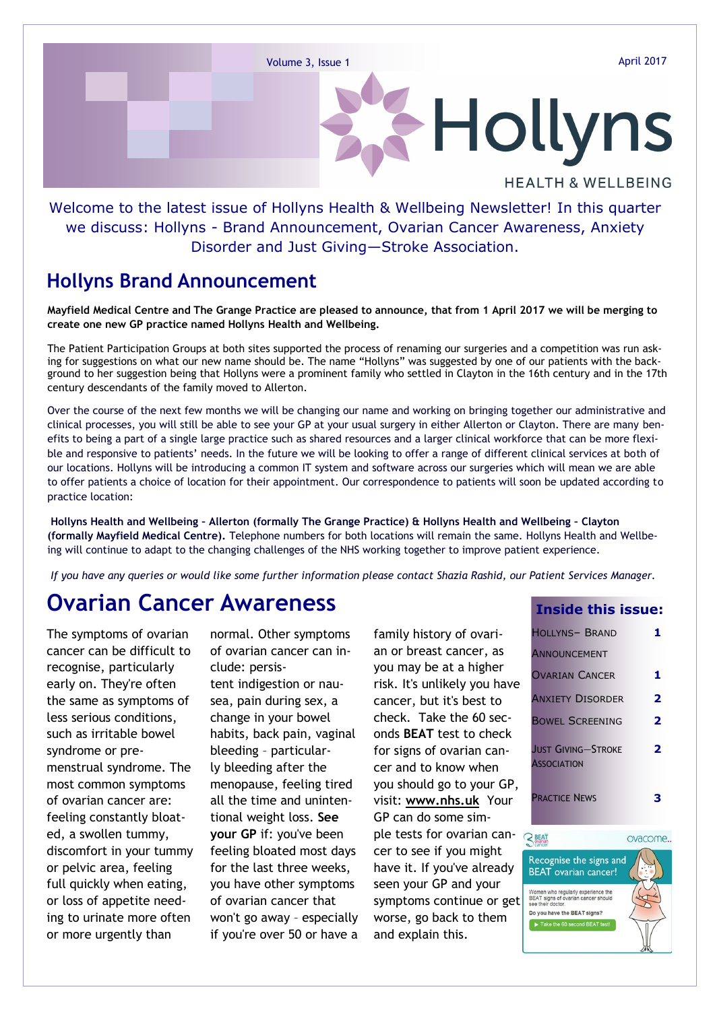# Hollyns **HEALTH & WELLBEING**

#### Welcome to the latest issue of Hollyns Health & Wellbeing Newsletter! In this quarter we discuss: Hollyns - Brand Announcement, Ovarian Cancer Awareness, Anxiety Disorder and Just Giving—Stroke Association.

#### **Hollyns Brand Announcement**

**Mayfield Medical Centre and The Grange Practice are pleased to announce, that from 1 April 2017 we will be merging to create one new GP practice named Hollyns Health and Wellbeing.** 

The Patient Participation Groups at both sites supported the process of renaming our surgeries and a competition was run asking for suggestions on what our new name should be. The name "Hollyns" was suggested by one of our patients with the background to her suggestion being that Hollyns were a prominent family who settled in Clayton in the 16th century and in the 17th century descendants of the family moved to Allerton.

Over the course of the next few months we will be changing our name and working on bringing together our administrative and clinical processes, you will still be able to see your GP at your usual surgery in either Allerton or Clayton. There are many benefits to being a part of a single large practice such as shared resources and a larger clinical workforce that can be more flexible and responsive to patients' needs. In the future we will be looking to offer a range of different clinical services at both of our locations. Hollyns will be introducing a common IT system and software across our surgeries which will mean we are able to offer patients a choice of location for their appointment. Our correspondence to patients will soon be updated according to practice location:

**Hollyns Health and Wellbeing – Allerton (formally The Grange Practice) & Hollyns Health and Wellbeing – Clayton (formally Mayfield Medical Centre).** Telephone numbers for both locations will remain the same. Hollyns Health and Wellbeing will continue to adapt to the changing challenges of the NHS working together to improve patient experience.

*If you have any queries or would like some further information please contact Shazia Rashid, our Patient Services Manager.*

#### **Ovarian Cancer Awareness**

The symptoms of ovarian cancer can be difficult to recognise, particularly early on. They're often the same as symptoms of less serious conditions, such as irritable bowel syndrome or premenstrual syndrome. The most common symptoms of ovarian cancer are: feeling constantly bloated, a swollen tummy, discomfort in your tummy or pelvic area, feeling full quickly when eating, or loss of appetite needing to urinate more often or more urgently than

normal. Other symptoms of ovarian cancer can include: persistent [indigestion](http://www.nhs.uk/conditions/Indigestion/Pages/Introduction.aspx) or nausea, pain during sex, a change in your bowel habits, [back pain,](http://www.nhs.uk/conditions/Back-pain/Pages/Introduction.aspx) vaginal bleeding – particularly [bleeding after the](http://www.nhs.uk/conditions/postmenopausal-bleeding-or-spotting/Pages/Introduction.aspx)  [menopause,](http://www.nhs.uk/conditions/postmenopausal-bleeding-or-spotting/Pages/Introduction.aspx) feeling tired all the time and [uninten](http://www.nhs.uk/conditions/unexpected-weight-loss/Pages/Introduction.aspx)[tional weight loss.](http://www.nhs.uk/conditions/unexpected-weight-loss/Pages/Introduction.aspx) **See your GP** if: you've been feeling bloated most days for the last three weeks, you have other symptoms of ovarian cancer that won't go away – especially if you're over 50 or have a

family history of ovarian or [breast cancer,](http://www.nhs.uk/Conditions/Cancer-of-the-breast-female/Pages/Introduction.aspx) as you may be at a higher risk. It's unlikely you have cancer, but it's best to check. Take the 60 seconds **BEAT** test to check for signs of ovarian cancer and to know when you should go to your GP, visit: **www.nhs.uk** Your GP can do some simple [tests for ovarian can](http://www.nhs.uk/Conditions/Cancer-of-the-ovary/Pages/Diagnosis.aspx)[cer](http://www.nhs.uk/Conditions/Cancer-of-the-ovary/Pages/Diagnosis.aspx) to see if you might have it. If you've already seen your GP and your symptoms continue or get worse, go back to them and explain this.

#### **Inside this issue:**

| <b>HOLLYNS- BRAND</b>                           |   |
|-------------------------------------------------|---|
| <b>ANNOUNCEMENT</b><br><b>OVARIAN CANCER</b>    |   |
|                                                 | 1 |
| <b>ANXIETY DISORDER</b>                         | 2 |
| <b>BOWEL SCREENING</b>                          | 2 |
| <b>JUST GIVING-STROKE</b><br><b>ASSOCIATION</b> | 2 |
| <b>PRACTICE NEWS</b>                            |   |

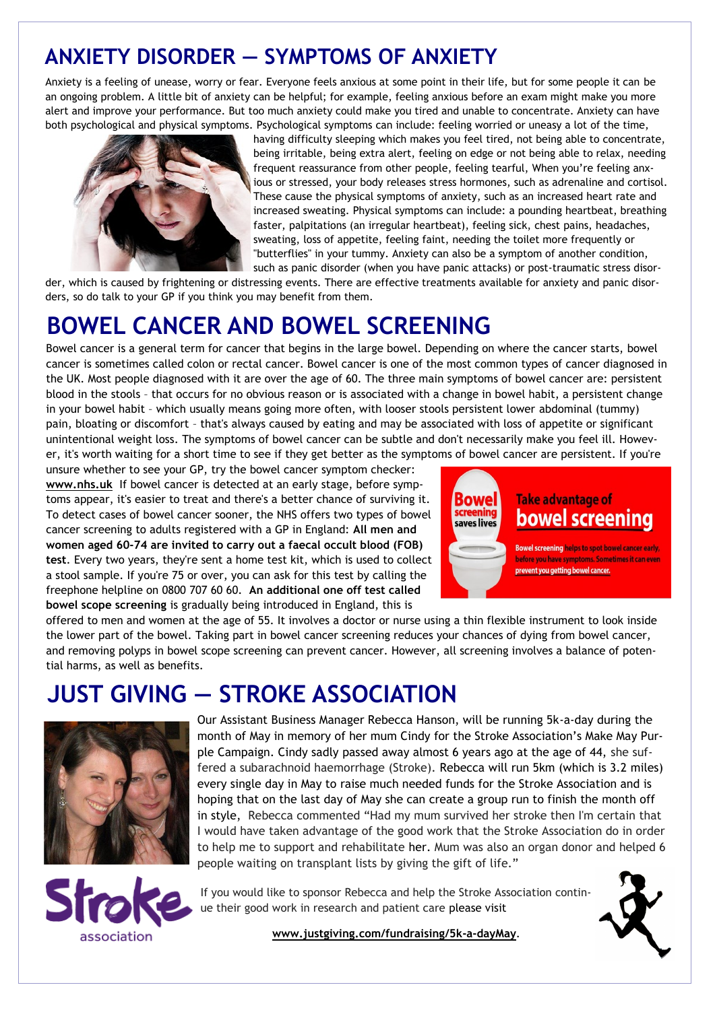## **ANXIETY DISORDER — SYMPTOMS OF ANXIETY**

Anxiety is a feeling of unease, worry or fear. Everyone feels anxious at some point in their life, but for some people it can be an ongoing problem. A little bit of anxiety can be helpful; for example, feeling anxious before an exam might make you more alert and improve your performance. But too much anxiety could make you tired and unable to concentrate. Anxiety can have both psychological and physical symptoms. Psychological symptoms can include: feeling worried or uneasy a lot of the time,



having difficulty sleeping which makes you feel tired, not being able to concentrate, being irritable, being extra alert, feeling on edge or not being able to relax, needing frequent reassurance from other people, feeling tearful, When you're feeling anxious or stressed, your body releases stress hormones, such as adrenaline and cortisol. These cause the physical symptoms of anxiety, such as an increased heart rate and increased sweating. Physical symptoms can include: a pounding heartbeat, breathing faster, palpitations (an irregular heartbeat), feeling sick, chest pains, headaches, sweating, loss of appetite, feeling faint, needing the toilet more frequently or "butterflies" in your tummy. Anxiety can also be a symptom of another condition, such as [panic disorder](http://www.nhs.uk/conditions/panic-disorder/pages/introduction.aspx) (when you have [panic attacks\)](http://www.nhs.uk/Conditions/stress-anxiety-depression/Pages/understanding-panic-attacks.aspx) or [post-traumatic stress disor-](http://www.nhs.uk/conditions/post-traumatic-stress-disorder/pages/introduction.aspx)

[der,](http://www.nhs.uk/conditions/post-traumatic-stress-disorder/pages/introduction.aspx) which is caused by frightening or distressing events. There are effective treatments available for anxiety and panic disorders, so do talk to your GP if you think you may benefit from them.

## **BOWEL CANCER AND BOWEL SCREENING**

Bowel cancer is a general term for cancer that begins in the large bowel. Depending on where the cancer starts, bowel cancer is sometimes called colon or rectal cancer. Bowel cancer is one of the most common types of cancer diagnosed in the UK. Most people diagnosed with it are over the age of 60. The three main symptoms of bowel cancer are: persistent [blood in the stools](http://www.nhs.uk/conditions/rectal-bleeding/Pages/Introduction.aspx) – that occurs for no obvious reason or is associated with a change in bowel habit, a persistent change in your bowel habit – which usually means going more often, with looser stools persistent lower [abdominal \(tummy\)](http://www.nhs.uk/conditions/stomach-ache-abdominal-pain/Pages/Introduction.aspx)  [pain,](http://www.nhs.uk/conditions/stomach-ache-abdominal-pain/Pages/Introduction.aspx) bloating or discomfort – that's always caused by eating and may be associated with loss of appetite or significant [unintentional weight loss.](http://www.nhs.uk/Conditions/unexpected-weight-loss/Pages/Introduction.aspx) The symptoms of bowel cancer can be subtle and don't necessarily make you feel ill. However, it's worth waiting for a short time to see if they get better as the symptoms of bowel cancer are persistent. If you're

unsure whether to see your GP, try the [bowel cancer symptom checker:](http://www.nhs.uk/Tools/Pages/Bowel-cancer-self-assessment.aspx)  **www.nhs.uk** If bowel cancer is detected at an early stage, before symptoms appear, it's easier to treat and there's a better chance of surviving it. To detect cases of bowel cancer sooner, the NHS offers two types of bowel cancer screening to adults registered with a GP in England: **All men and women aged 60-74 are invited to carry out a faecal occult blood (FOB) test**. Every two years, they're sent a home test kit, which is used to collect a stool sample. If you're 75 or over, you can ask for this test by calling the freephone helpline on 0800 707 60 60. **An additional one off test called bowel scope screening** is gradually being introduced in England, this is



offered to men and women at the age of 55. It involves a doctor or nurse using a thin flexible instrument to look inside the lower part of the bowel. Taking part in bowel cancer screening reduces your chances of dying from bowel cancer, and removing polyps in bowel scope screening can prevent cancer. However, all screening involves a balance of potential harms, as well as benefits.

## **JUST GIVING — STROKE ASSOCIATION**



Our Assistant Business Manager Rebecca Hanson, will be running 5k-a-day during the month of May in memory of her mum Cindy for the Stroke Association's Make May Purple Campaign. Cindy sadly passed away almost 6 years ago at the age of 44, she suffered a subarachnoid haemorrhage (Stroke). Rebecca will run 5km (which is 3.2 miles) every single day in May to raise much needed funds for the Stroke Association and is hoping that on the last day of May she can create a group run to finish the month off in style, Rebecca commented "Had my mum survived her stroke then I'm certain that I would have taken advantage of the good work that the Stroke Association do in order to help me to support and rehabilitate her. Mum was also an organ donor and helped 6 people waiting on transplant lists by giving the gift of life."



If you would like to sponsor Rebecca and help the Stroke Association continue their good work in research and patient care please visit

**www.justgiving.com/fundraising/5k-a-dayMay**.

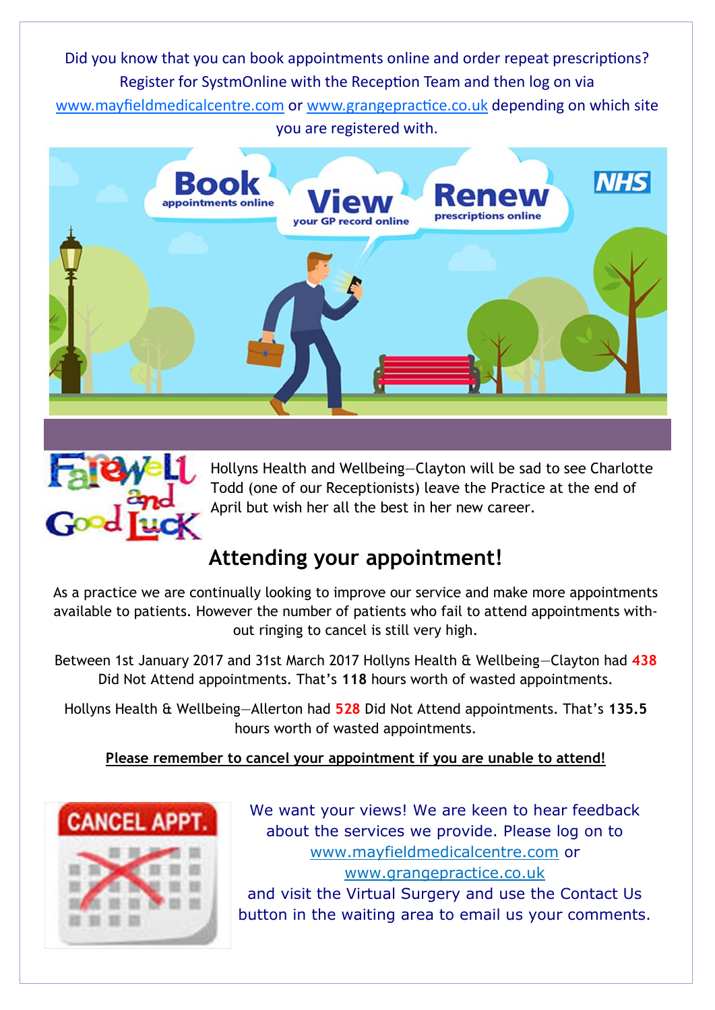Did you know that you can book appointments online and order repeat prescriptions? Register for SystmOnline with the Reception Team and then log on via www.mayfieldmedicalcentre.com or www.grangepractice.co.uk depending on which site you are registered with.





Hollyns Health and Wellbeing—Clayton will be sad to see Charlotte Todd (one of our Receptionists) leave the Practice at the end of April but wish her all the best in her new career.

## **Attending your appointment!**

As a practice we are continually looking to improve our service and make more appointments available to patients. However the number of patients who fail to attend appointments without ringing to cancel is still very high.

Between 1st January 2017 and 31st March 2017 Hollyns Health & Wellbeing—Clayton had **438** Did Not Attend appointments. That's **118** hours worth of wasted appointments.

Hollyns Health & Wellbeing—Allerton had **528** Did Not Attend appointments. That's **135.5** hours worth of wasted appointments.

**Please remember to cancel your appointment if you are unable to attend!**



We want your views! We are keen to hear feedback about the services we provide. Please log on to www.mayfieldmedicalcentre.com or www.grangepractice.co.uk and visit the Virtual Surgery and use the Contact Us button in the waiting area to email us your comments.